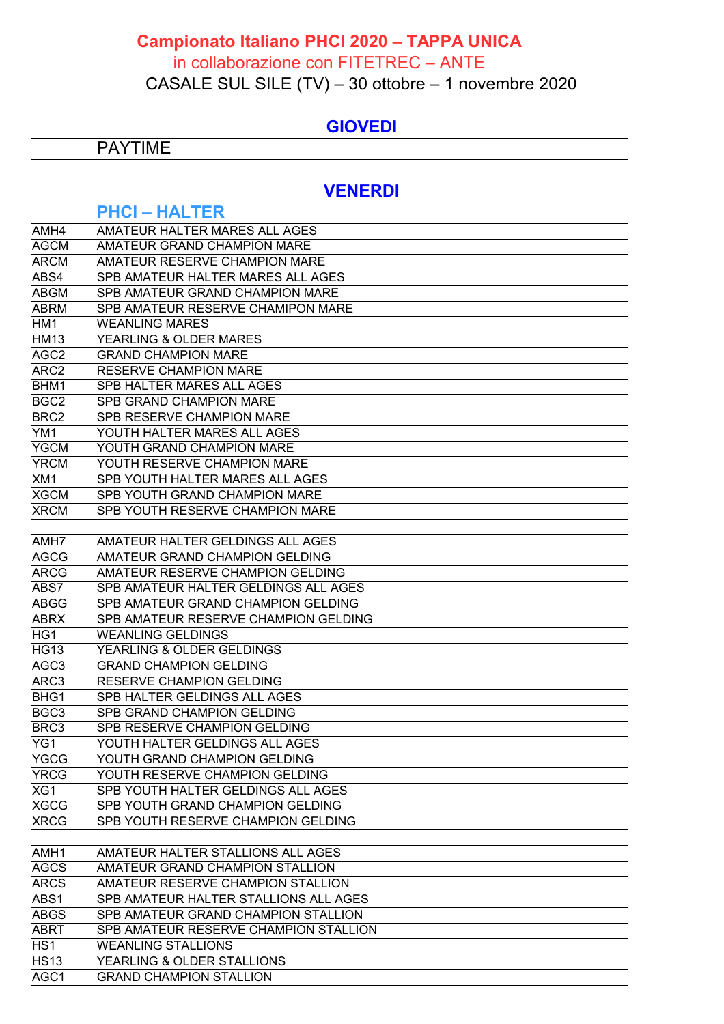# **Campionato Italiano PHCI 2020 – TAPPA UNICA**

#### in collaborazione con FITETREC – ANTE

CASALE SUL SILE (TV) – 30 ottobre – 1 novembre 2020

## **GIOVEDI**

# **PAYTIME**

### **VENERDI**

### **PHCI – HALTER**

| AMH4             | AMATEUR HALTER MARES ALL AGES            |
|------------------|------------------------------------------|
| <b>AGCM</b>      | AMATEUR GRAND CHAMPION MARE              |
| <b>ARCM</b>      | <b>AMATEUR RESERVE CHAMPION MARE</b>     |
| ABS4             | <b>SPB AMATEUR HALTER MARES ALL AGES</b> |
| <b>ABGM</b>      | <b>SPB AMATEUR GRAND CHAMPION MARE</b>   |
| <b>ABRM</b>      | SPB AMATEUR RESERVE CHAMIPON MARE        |
| HM1              | <b>WEANLING MARES</b>                    |
| <b>HM13</b>      | YEARLING & OLDER MARES                   |
| AGC <sub>2</sub> | <b>GRAND CHAMPION MARE</b>               |
| ARC <sub>2</sub> | RESERVE CHAMPION MARE                    |
| BHM1             | SPB HALTER MARES ALL AGES                |
| BGC <sub>2</sub> | <b>SPB GRAND CHAMPION MARE</b>           |
| BRC <sub>2</sub> | SPB RESERVE CHAMPION MARE                |
| YM <sub>1</sub>  | YOUTH HALTER MARES ALL AGES              |
| YGCM             | YOUTH GRAND CHAMPION MARE                |
| <b>YRCM</b>      | YOUTH RESERVE CHAMPION MARE              |
| XM1              | SPB YOUTH HALTER MARES ALL AGES          |
| <b>XGCM</b>      | SPB YOUTH GRAND CHAMPION MARE            |
| <b>XRCM</b>      | SPB YOUTH RESERVE CHAMPION MARE          |
|                  |                                          |
| AMH7             | AMATEUR HALTER GELDINGS ALL AGES         |
| AGCG             | AMATEUR GRAND CHAMPION GELDING           |
| <b>ARCG</b>      | AMATEUR RESERVE CHAMPION GELDING         |
| ABS7             | SPB AMATEUR HALTER GELDINGS ALL AGES     |
| ABGG             | SPB AMATEUR GRAND CHAMPION GELDING       |
| <b>ABRX</b>      | SPB AMATEUR RESERVE CHAMPION GELDING     |
| HG1              | <b>WEANLING GELDINGS</b>                 |
| <b>HG13</b>      | YEARLING & OLDER GELDINGS                |
| AGC3             | <b>GRAND CHAMPION GELDING</b>            |
| ARC3             | <b>RESERVE CHAMPION GELDING</b>          |
| <b>BHG1</b>      | SPB HALTER GELDINGS ALL AGES             |
| BGC3             | SPB GRAND CHAMPION GELDING               |
| BRC3             | SPB RESERVE CHAMPION GELDING             |
| YG1              | YOUTH HALTER GELDINGS ALL AGES           |
| YGCG             | YOUTH GRAND CHAMPION GELDING             |
| <b>YRCG</b>      | YOUTH RESERVE CHAMPION GELDING           |
| XG1              | SPB YOUTH HALTER GELDINGS ALL AGES       |
| <b>XGCG</b>      | <b>SPB YOUTH GRAND CHAMPION GELDING</b>  |
| <b>XRCG</b>      | SPB YOUTH RESERVE CHAMPION GELDING       |
|                  |                                          |
| AMH <sub>1</sub> | AMATEUR HALTER STALLIONS ALL AGES        |
| <b>AGCS</b>      | AMATEUR GRAND CHAMPION STALLION          |
| <b>ARCS</b>      | AMATEUR RESERVE CHAMPION STALLION        |
| ABS1             | SPB AMATEUR HALTER STALLIONS ALL AGES    |
| <b>ABGS</b>      | SPB AMATEUR GRAND CHAMPION STALLION      |
| <b>ABRT</b>      | SPB AMATEUR RESERVE CHAMPION STALLION    |
| HS1              | <b>WEANLING STALLIONS</b>                |
| <b>HS13</b>      | YEARLING & OLDER STALLIONS               |
| AGC1             | <b>GRAND CHAMPION STALLION</b>           |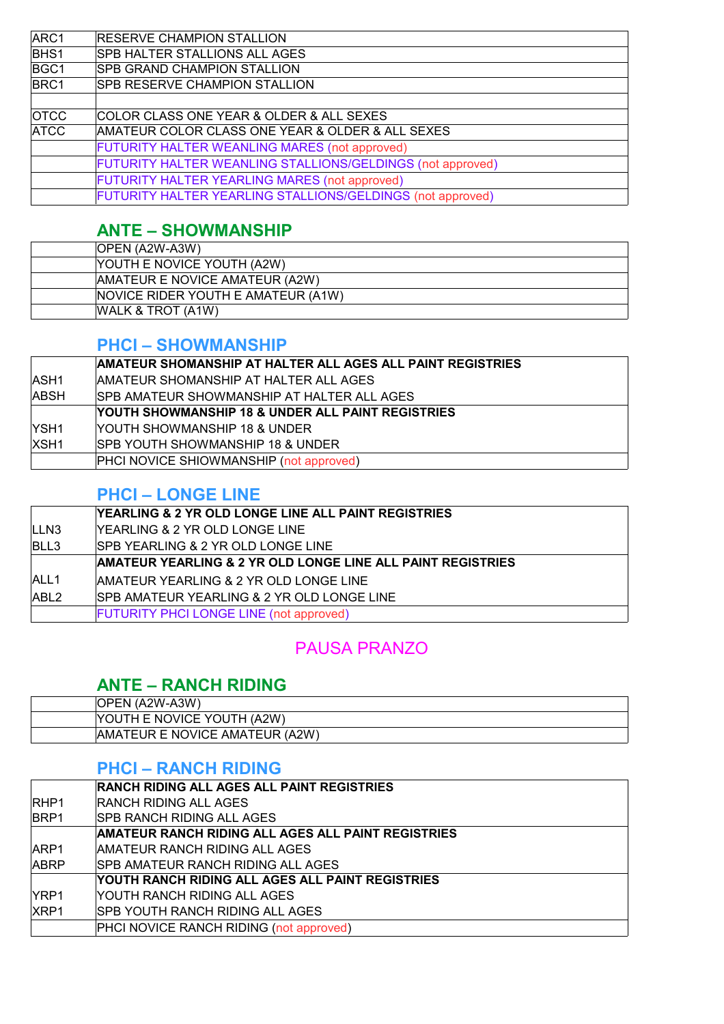| ARC1        | <b>RESERVE CHAMPION STALLION</b>                           |
|-------------|------------------------------------------------------------|
| <b>BHS1</b> | <b>SPB HALTER STALLIONS ALL AGES</b>                       |
| BGC1        | <b>SPB GRAND CHAMPION STALLION</b>                         |
| BRC1        | <b>SPB RESERVE CHAMPION STALLION</b>                       |
|             |                                                            |
| <b>OTCC</b> | COLOR CLASS ONE YEAR & OLDER & ALL SEXES                   |
| <b>ATCC</b> | AMATEUR COLOR CLASS ONE YEAR & OLDER & ALL SEXES           |
|             | FUTURITY HALTER WEANLING MARES (not approved)              |
|             | FUTURITY HALTER WEANLING STALLIONS/GELDINGS (not approved) |
|             | FUTURITY HALTER YEARLING MARES (not approved)              |
|             | FUTURITY HALTER YEARLING STALLIONS/GELDINGS (not approved) |

# **ANTE – SHOWMANSHIP**

| <b>OPEN (A2W-A3W)</b>                      |
|--------------------------------------------|
| <b>NOUTH E NOVICE YOUTH (A2W)</b>          |
| <b>AMATEUR E NOVICE AMATEUR (A2W)</b>      |
| <b>INOVICE RIDER YOUTH E AMATEUR (A1W)</b> |
| WALK & TROT (A1W)                          |

## **PHCI – SHOWMANSHIP**

|                  | AMATEUR SHOMANSHIP AT HALTER ALL AGES ALL PAINT REGISTRIES |
|------------------|------------------------------------------------------------|
| <b>ASH1</b>      | AMATEUR SHOMANSHIP AT HALTER ALL AGES                      |
| <b>ABSH</b>      | <b>ISPB AMATEUR SHOWMANSHIP AT HALTER ALL AGES</b>         |
|                  | YOUTH SHOWMANSHIP 18 & UNDER ALL PAINT REGISTRIES          |
| <b>YSH1</b>      | <b>IYOUTH SHOWMANSHIP 18 &amp; UNDER</b>                   |
| XSH <sub>1</sub> | <b>ISPB YOUTH SHOWMANSHIP 18 &amp; UNDER</b>               |
|                  | <b>PHCI NOVICE SHIOWMANSHIP (not approved)</b>             |

## **PHCI – LONGE LINE**

|                  | <b>YEARLING &amp; 2 YR OLD LONGE LINE ALL PAINT REGISTRIES</b>         |
|------------------|------------------------------------------------------------------------|
| LLN <sub>3</sub> | <b>IYEARLING &amp; 2 YR OLD LONGE LINE</b>                             |
| BLL3             | SPB YEARLING & 2 YR OLD LONGE LINE                                     |
|                  | <b>AMATEUR YEARLING &amp; 2 YR OLD LONGE LINE ALL PAINT REGISTRIES</b> |
| ALL <sub>1</sub> | AMATEUR YEARLING & 2 YR OLD LONGE LINE                                 |
| ABL <sub>2</sub> | <b>SPB AMATEUR YEARLING &amp; 2 YR OLD LONGE LINE</b>                  |
|                  | <b>FUTURITY PHCI LONGE LINE (not approved)</b>                         |

# PAUSA PRANZO

# **ANTE – RANCH RIDING**

| <b>IOPEN (A2W-A3W)</b>         |
|--------------------------------|
| YOUTH E NOVICE YOUTH (A2W)     |
| AMATEUR E NOVICE AMATEUR (A2W) |

# **PHCI – RANCH RIDING**

|             | <b>RANCH RIDING ALL AGES ALL PAINT REGISTRIES</b>  |
|-------------|----------------------------------------------------|
| <b>RHP1</b> | <b>RANCH RIDING ALL AGES</b>                       |
| <b>BRP1</b> | ISPB RANCH RIDING ALL AGES                         |
|             | AMATEUR RANCH RIDING ALL AGES ALL PAINT REGISTRIES |
| ARP1        | AMATEUR RANCH RIDING ALL AGES                      |
| <b>ABRP</b> | ISPB AMATEUR RANCH RIDING ALL AGES                 |
|             | YOUTH RANCH RIDING ALL AGES ALL PAINT REGISTRIES   |
| IYRP1       | YOUTH RANCH RIDING ALL AGES                        |
| XRP1        | ISPB YOUTH RANCH RIDING ALL AGES                   |
|             | <b>PHCI NOVICE RANCH RIDING (not approved)</b>     |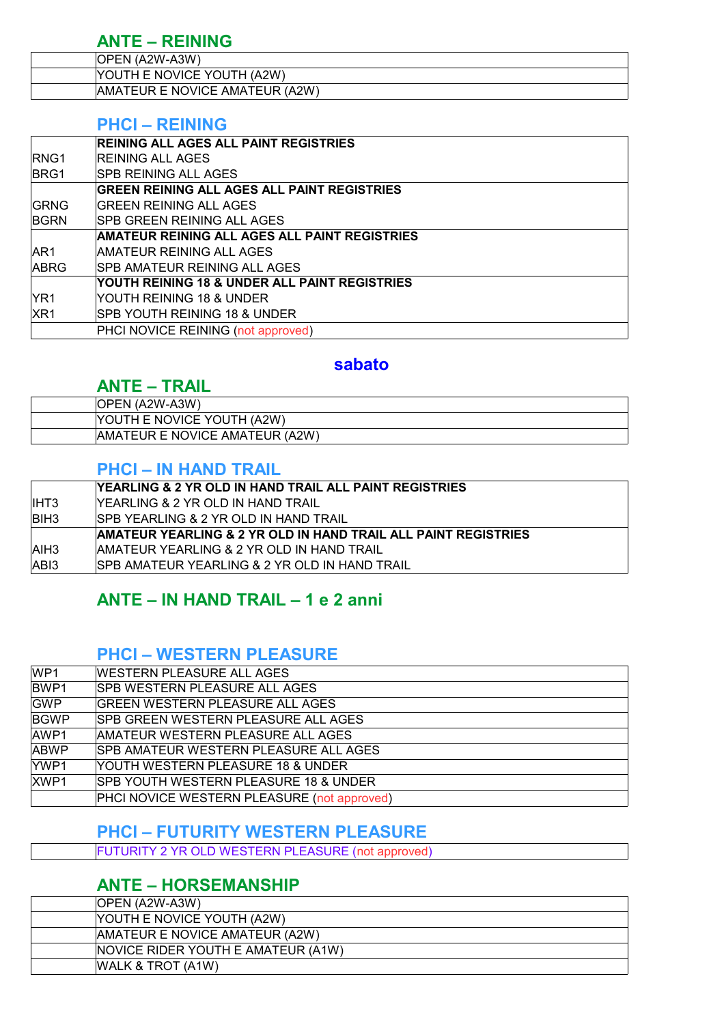# **ANTE – REINING**

| <b>OPEN (A2W-A3W)</b>          |
|--------------------------------|
| YOUTH E NOVICE YOUTH (A2W)     |
| AMATEUR E NOVICE AMATEUR (A2W) |

#### **PHCI – REINING**

|                 | <b>REINING ALL AGES ALL PAINT REGISTRIES</b>         |
|-----------------|------------------------------------------------------|
| <b>RNG1</b>     | <b>REINING ALL AGES</b>                              |
| <b>BRG1</b>     | <b>ISPB REINING ALL AGES</b>                         |
|                 | <b>GREEN REINING ALL AGES ALL PAINT REGISTRIES</b>   |
| <b>GRNG</b>     | IGREEN REINING ALL AGES                              |
| <b>BGRN</b>     | <b>ISPB GREEN REINING ALL AGES</b>                   |
|                 | <b>AMATEUR REINING ALL AGES ALL PAINT REGISTRIES</b> |
| AR <sub>1</sub> | AMATEUR REINING ALL AGES                             |
| <b>ABRG</b>     | <b>ISPB AMATEUR REINING ALL AGES</b>                 |
|                 | YOUTH REINING 18 & UNDER ALL PAINT REGISTRIES        |
| YR <sub>1</sub> | IYOUTH REINING 18 & UNDER                            |
| X <sub>R1</sub> | <b>ISPB YOUTH REINING 18 &amp; UNDER</b>             |
|                 | PHCI NOVICE REINING (not approved)                   |

#### **sabato**

# **ANTE – TRAIL**

| <b>OPEN (A2W-A3W)</b>          |  |
|--------------------------------|--|
| YOUTH E NOVICE YOUTH (A2W)     |  |
| AMATEUR E NOVICE AMATEUR (A2W) |  |

#### **PHCI – IN HAND TRAIL**

|             | YEARLING & 2 YR OLD IN HAND TRAIL ALL PAINT REGISTRIES         |
|-------------|----------------------------------------------------------------|
| IIHT3       | IYEARLING & 2 YR OLD IN HAND TRAIL.                            |
| <b>BIH3</b> | ISPB YEARLING & 2 YR OLD IN HAND TRAIL                         |
|             | AMATEUR YEARLING & 2 YR OLD IN HAND TRAIL ALL PAINT REGISTRIES |
| AIH3        | AMATEUR YEARLING & 2 YR OLD IN HAND TRAIL                      |
| ABI3        | ISPB AMATEUR YEARLING & 2 YR OLD IN HAND TRAIL                 |

## **ANTE – IN HAND TRAIL – 1 e 2 anni**

### **PHCI – WESTERN PLEASURE**

| WP <sub>1</sub> | <b>WESTERN PLEASURE ALL AGES</b>                 |
|-----------------|--------------------------------------------------|
| BWP1            | <b>SPB WESTERN PLEASURE ALL AGES</b>             |
| <b>GWP</b>      | <b>GREEN WESTERN PLEASURE ALL AGES</b>           |
| <b>BGWP</b>     | <b>SPB GREEN WESTERN PLEASURE ALL AGES</b>       |
| AWP1            | AMATEUR WESTERN PLEASURE ALL AGES                |
| <b>ABWP</b>     | <b>SPB AMATEUR WESTERN PLEASURE ALL AGES</b>     |
| YWP1            | YOUTH WESTERN PLEASURE 18 & UNDER                |
| XWP1            | <b>SPB YOUTH WESTERN PLEASURE 18 &amp; UNDER</b> |
|                 | PHCI NOVICE WESTERN PLEASURE (not approved)      |

#### **PHCI – FUTURITY WESTERN PLEASURE**

FUTURITY 2 YR OLD WESTERN PLEASURE (not approved)

# **ANTE – HORSEMANSHIP**

| <b>OPEN (A2W-A3W)</b>              |
|------------------------------------|
| YOUTH E NOVICE YOUTH (A2W)         |
| AMATEUR E NOVICE AMATEUR (A2W)     |
| NOVICE RIDER YOUTH E AMATEUR (A1W) |
| WALK & TROT (A1W)                  |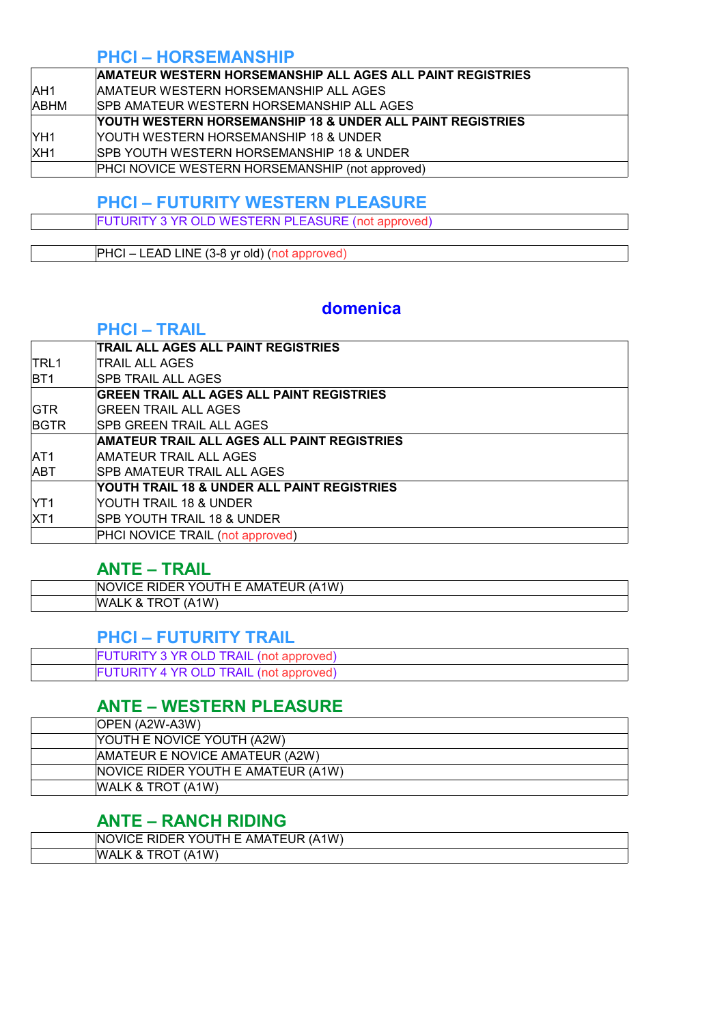#### **PHCI – HORSEMANSHIP**

|                 | <b>AMATEUR WESTERN HORSEMANSHIP ALL AGES ALL PAINT REGISTRIES</b> |
|-----------------|-------------------------------------------------------------------|
| <b>AH1</b>      | AMATEUR WESTERN HORSEMANSHIP ALL AGES                             |
| ABHM            | <b>ISPB AMATEUR WESTERN HORSEMANSHIP ALL AGES</b>                 |
|                 | YOUTH WESTERN HORSEMANSHIP 18 & UNDER ALL PAINT REGISTRIES        |
| YH <sub>1</sub> | YOUTH WESTERN HORSEMANSHIP 18 & UNDER                             |
| XH <sub>1</sub> | <b>ISPB YOUTH WESTERN HORSEMANSHIP 18 &amp; UNDER</b>             |
|                 | PHCI NOVICE WESTERN HORSEMANSHIP (not approved)                   |

#### **PHCI – FUTURITY WESTERN PLEASURE**

FUTURITY 3 YR OLD WESTERN PLEASURE (not approved)

PHCI – LEAD LINE (3-8 yr old) (not approved)

# **domenica**

### **PHCI – TRAIL**

|                 | TRAIL ALL AGES ALL PAINT REGISTRIES              |
|-----------------|--------------------------------------------------|
| TRL 1           | TRAIL ALL AGES                                   |
| BT <sub>1</sub> | <b>ISPB TRAIL ALL AGES</b>                       |
|                 | <b>GREEN TRAIL ALL AGES ALL PAINT REGISTRIES</b> |
| <b>GTR</b>      | <b>GREEN TRAIL ALL AGES</b>                      |
| BGTR            | <b>SPB GREEN TRAIL ALL AGES</b>                  |
|                 | AMATEUR TRAIL ALL AGES ALL PAINT REGISTRIES      |
| AT1             | AMATEUR TRAIL ALL AGES                           |
| ABT             | ISPB AMATEUR TRAIL ALL AGES                      |
|                 | YOUTH TRAIL 18 & UNDER ALL PAINT REGISTRIES      |
| YT1             | YOUTH TRAIL 18 & UNDER                           |
| XT1             | ISPB YOUTH TRAIL 18 & UNDER                      |
|                 | PHCI NOVICE TRAIL (not approved)                 |
|                 |                                                  |

## **ANTE – TRAIL**

| 1W.<br>∕ا⊢<br>IN(<br>IΑ<br>v<br>™⊢<br>Ħ<br>ж<br>AMA<br>- - -<br>-<br>-<br>11 V 17 |
|-----------------------------------------------------------------------------------|
| W.<br>w<br>x.<br>.                                                                |

#### **PHCI – FUTURITY TRAIL**

| <b>FUTURITY 3 YR OLD TRAIL (not approved)</b> |
|-----------------------------------------------|
| <b>FUTURITY 4 YR OLD TRAIL (not approved)</b> |

# **ANTE – WESTERN PLEASURE**

| <b>OPEN (A2W-A3W)</b>                     |
|-------------------------------------------|
| YOUTH E NOVICE YOUTH (A2W)                |
| AMATEUR E NOVICE AMATEUR (A2W)            |
| <b>NOVICE RIDER YOUTH E AMATEUR (A1W)</b> |
| WALK & TROT (A1W)                         |

## **ANTE – RANCH RIDING**

| .1W<br>1Δ<br>JR<br>AMA<br>N<br>$H + H$<br>ு ⊶ப<br>н<br>JVIC.<br>YOL. |
|----------------------------------------------------------------------|
| ۱W<br>W<br>Z<br>X.<br>¬∟<br>$\check{\phantom{a}}$                    |